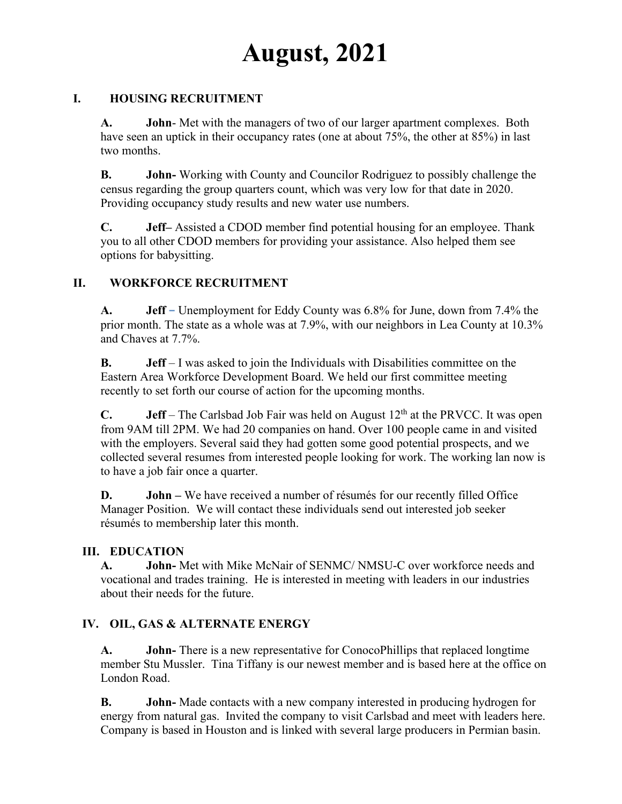# **August, 2021**

## **I. HOUSING RECRUITMENT**

**A. John**- Met with the managers of two of our larger apartment complexes. Both have seen an uptick in their occupancy rates (one at about 75%, the other at 85%) in last two months.

**B. John-** Working with County and Councilor Rodriguez to possibly challenge the census regarding the group quarters count, which was very low for that date in 2020. Providing occupancy study results and new water use numbers.

**C. Jeff–** Assisted a CDOD member find potential housing for an employee. Thank you to all other CDOD members for providing your assistance. Also helped them see options for babysitting.

# **II. WORKFORCE RECRUITMENT**

**A. Jeff –** Unemployment for Eddy County was 6.8% for June, down from 7.4% the prior month. The state as a whole was at 7.9%, with our neighbors in Lea County at 10.3% and Chaves at 7.7%.

**B. Jeff** – I was asked to join the Individuals with Disabilities committee on the Eastern Area Workforce Development Board. We held our first committee meeting recently to set forth our course of action for the upcoming months.

**C. Jeff** – The Carlsbad Job Fair was held on August  $12<sup>th</sup>$  at the PRVCC. It was open from 9AM till 2PM. We had 20 companies on hand. Over 100 people came in and visited with the employers. Several said they had gotten some good potential prospects, and we collected several resumes from interested people looking for work. The working lan now is to have a job fair once a quarter.

**D. John** – We have received a number of résumés for our recently filled Office Manager Position. We will contact these individuals send out interested job seeker résumés to membership later this month.

# **III. EDUCATION**

**A. John-** Met with Mike McNair of SENMC/ NMSU-C over workforce needs and vocational and trades training. He is interested in meeting with leaders in our industries about their needs for the future.

# **IV. OIL, GAS & ALTERNATE ENERGY**

**A. John-** There is a new representative for ConocoPhillips that replaced longtime member Stu Mussler. Tina Tiffany is our newest member and is based here at the office on London Road.

**B. John-** Made contacts with a new company interested in producing hydrogen for energy from natural gas. Invited the company to visit Carlsbad and meet with leaders here. Company is based in Houston and is linked with several large producers in Permian basin.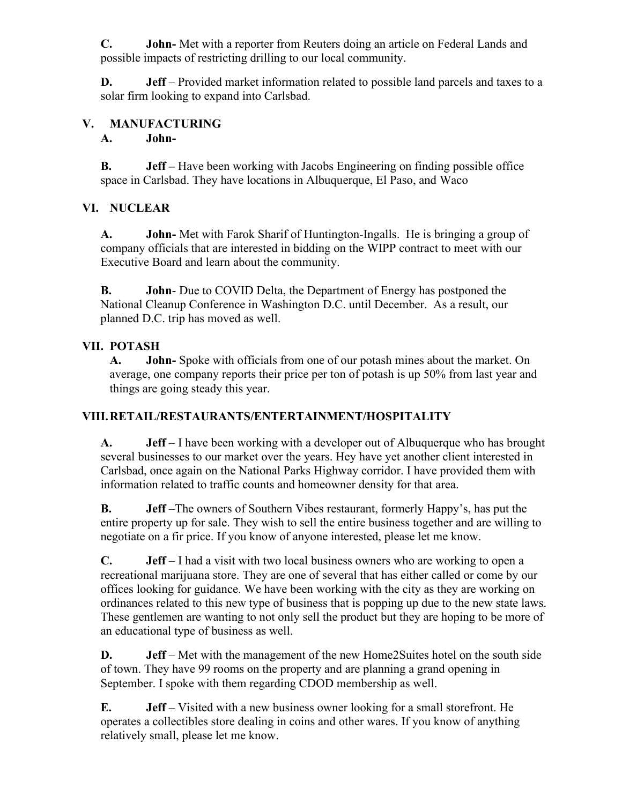**C. John-** Met with a reporter from Reuters doing an article on Federal Lands and possible impacts of restricting drilling to our local community.

**D. Jeff** – Provided market information related to possible land parcels and taxes to a solar firm looking to expand into Carlsbad.

## **V. MANUFACTURING**

#### **A. John-**

**B. Jeff –** Have been working with Jacobs Engineering on finding possible office space in Carlsbad. They have locations in Albuquerque, El Paso, and Waco

#### **VI. NUCLEAR**

**A. John-** Met with Farok Sharif of Huntington-Ingalls. He is bringing a group of company officials that are interested in bidding on the WIPP contract to meet with our Executive Board and learn about the community.

**B. John**- Due to COVID Delta, the Department of Energy has postponed the National Cleanup Conference in Washington D.C. until December. As a result, our planned D.C. trip has moved as well.

## **VII. POTASH**

**A. John-** Spoke with officials from one of our potash mines about the market. On average, one company reports their price per ton of potash is up 50% from last year and things are going steady this year.

# **VIII.RETAIL/RESTAURANTS/ENTERTAINMENT/HOSPITALITY**

**A. Jeff** – I have been working with a developer out of Albuquerque who has brought several businesses to our market over the years. Hey have yet another client interested in Carlsbad, once again on the National Parks Highway corridor. I have provided them with information related to traffic counts and homeowner density for that area.

**B. Jeff** –The owners of Southern Vibes restaurant, formerly Happy's, has put the entire property up for sale. They wish to sell the entire business together and are willing to negotiate on a fir price. If you know of anyone interested, please let me know.

**C. Jeff** – I had a visit with two local business owners who are working to open a recreational marijuana store. They are one of several that has either called or come by our offices looking for guidance. We have been working with the city as they are working on ordinances related to this new type of business that is popping up due to the new state laws. These gentlemen are wanting to not only sell the product but they are hoping to be more of an educational type of business as well.

**D. Jeff** – Met with the management of the new Home2Suites hotel on the south side of town. They have 99 rooms on the property and are planning a grand opening in September. I spoke with them regarding CDOD membership as well.

**E. Jeff** – Visited with a new business owner looking for a small storefront. He operates a collectibles store dealing in coins and other wares. If you know of anything relatively small, please let me know.